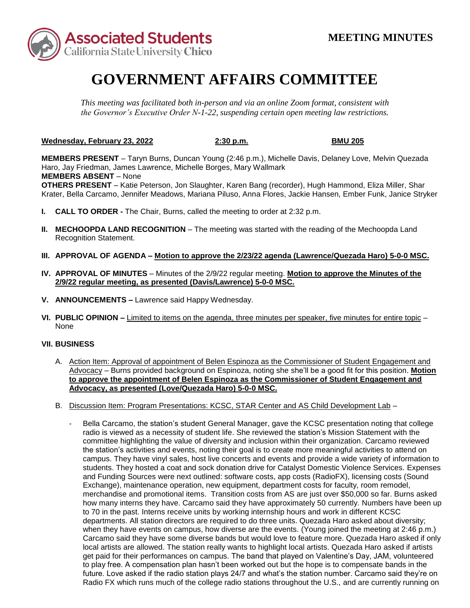

## **GOVERNMENT AFFAIRS COMMITTEE**

*This meeting was facilitated both in-person and via an online Zoom format, consistent with the Governor's Executive Order N-1-22, suspending certain open meeting law restrictions.* 

**Wednesday, February 23, 2022 2:30 p.m. BMU 205** 

 **MEMBERS ABSENT** – None **MEMBERS PRESENT** – Taryn Burns, Duncan Young (2:46 p.m.), Michelle Davis, Delaney Love, Melvin Quezada Haro, Jay Friedman, James Lawrence, Michelle Borges, Mary Wallmark **OTHERS PRESENT** – Katie Peterson, Jon Slaughter, Karen Bang (recorder), Hugh Hammond, Eliza Miller, Shar Krater, Bella Carcamo, Jennifer Meadows, Mariana Piluso, Anna Flores, Jackie Hansen, Ember Funk, Janice Stryker

- **I. CALL TO ORDER -** The Chair, Burns, called the meeting to order at 2:32 p.m.
- **II. MECHOOPDA LAND RECOGNITION** The meeting was started with the reading of the Mechoopda Land Recognition Statement.
- **III. APPROVAL OF AGENDA – Motion to approve the 2/23/22 agenda (Lawrence/Quezada Haro) 5-0-0 MSC.**
- **IV. APPROVAL OF MINUTES**  Minutes of the 2/9/22 regular meeting. **Motion to approve the Minutes of the 2/9/22 regular meeting, as presented (Davis/Lawrence) 5-0-0 MSC.**
- **V. ANNOUNCEMENTS –** Lawrence said Happy Wednesday.
- **VI. PUBLIC OPINION –** Limited to items on the agenda, three minutes per speaker, five minutes for entire topic None

## **VII. BUSINESS**

- A. Action Item: Approval of appointment of Belen Espinoza as the Commissioner of Student Engagement and Advocacy – Burns provided background on Espinoza, noting she she'll be a good fit for this position. **Motion to approve the appointment of Belen Espinoza as the Commissioner of Student Engagement and Advocacy, as presented (Love/Quezada Haro) 5-0-0 MSC.**
- B. Discussion Item: Program Presentations: KCSC, STAR Center and AS Child Development Lab
	- the station's activities and events, noting their goal is to create more meaningful activities to attend on campus. They have vinyl sales, host live concerts and events and provide a wide variety of information to merchandise and promotional items. Transition costs from AS are just over \$50,000 so far. Burns asked when they have events on campus, how diverse are the events. (Young joined the meeting at 2:46 p.m.) Bella Carcamo, the station's student General Manager, gave the KCSC presentation noting that college radio is viewed as a necessity of student life. She reviewed the station's Mission Statement with the committee highlighting the value of diversity and inclusion within their organization. Carcamo reviewed students. They hosted a coat and sock donation drive for Catalyst Domestic Violence Services. Expenses and Funding Sources were next outlined: software costs, app costs (RadioFX), licensing costs (Sound Exchange), maintenance operation, new equipment, department costs for faculty, room remodel, how many interns they have. Carcamo said they have approximately 50 currently. Numbers have been up to 70 in the past. Interns receive units by working internship hours and work in different KCSC departments. All station directors are required to do three units. Quezada Haro asked about diversity; Carcamo said they have some diverse bands but would love to feature more. Quezada Haro asked if only local artists are allowed. The station really wants to highlight local artists. Quezada Haro asked if artists get paid for their performances on campus. The band that played on Valentine's Day, JAM, volunteered to play free. A compensation plan hasn't been worked out but the hope is to compensate bands in the future. Love asked if the radio station plays 24/7 and what's the station number. Carcamo said they're on Radio FX which runs much of the college radio stations throughout the U.S., and are currently running on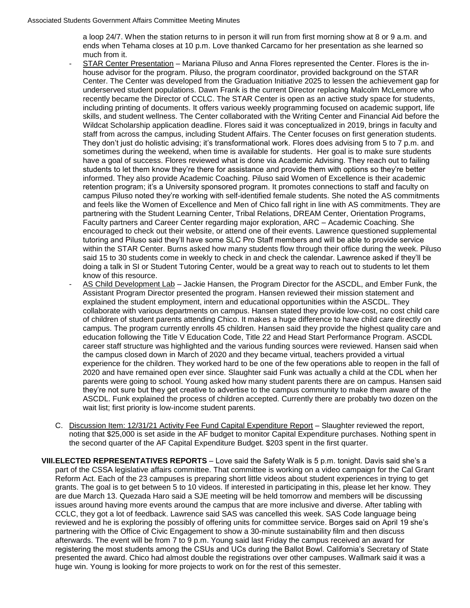ends when Tehama closes at 10 p.m. Love thanked Carcamo for her presentation as she learned so a loop 24/7. When the station returns to in person it will run from first morning show at 8 or 9 a.m. and much from it.

- house advisor for the program. Piluso, the program coordinator, provided background on the STAR including printing of documents. It offers various weekly programming focused on academic support, life retention program; it's a University sponsored program. It promotes connections to staff and faculty on and feels like the Women of Excellence and Men of Chico fall right in line with AS commitments. They are said 15 to 30 students come in weekly to check in and check the calendar. Lawrence asked if they'll be - STAR Center Presentation – Mariana Piluso and Anna Flores represented the Center. Flores is the in-Center. The Center was developed from the Graduation Initiative 2025 to lessen the achievement gap for underserved student populations. Dawn Frank is the current Director replacing Malcolm McLemore who recently became the Director of CCLC. The STAR Center is open as an active study space for students, skills, and student wellness. The Center collaborated with the Writing Center and Financial Aid before the Wildcat Scholarship application deadline. Flores said it was conceptualized in 2019, brings in faculty and staff from across the campus, including Student Affairs. The Center focuses on first generation students. They don't just do holistic advising; it's transformational work. Flores does advising from 5 to 7 p.m. and sometimes during the weekend, when time is available for students. Her goal is to make sure students have a goal of success. Flores reviewed what is done via Academic Advising. They reach out to failing students to let them know they're there for assistance and provide them with options so they're better informed. They also provide Academic Coaching. Piluso said Women of Excellence is their academic campus Piluso noted they're working with self-identified female students. She noted the AS commitments partnering with the Student Learning Center, Tribal Relations, DREAM Center, Orientation Programs, Faculty partners and Career Center regarding major exploration, ARC – Academic Coaching. She encouraged to check out their website, or attend one of their events. Lawrence questioned supplemental tutoring and Piluso said they'll have some SLC Pro Staff members and will be able to provide service within the STAR Center. Burns asked how many students flow through their office during the week. Piluso doing a talk in SI or Student Tutoring Center, would be a great way to reach out to students to let them know of this resource.
- career staff structure was highlighted and the various funding sources were reviewed. Hansen said when 2020 and have remained open ever since. Slaughter said Funk was actually a child at the CDL when her ASCDL. Funk explained the process of children accepted. Currently there are probably two dozen on the AS Child Development Lab - Jackie Hansen, the Program Director for the ASCDL, and Ember Funk, the Assistant Program Director presented the program. Hansen reviewed their mission statement and explained the student employment, intern and educational opportunities within the ASCDL. They collaborate with various departments on campus. Hansen stated they provide low-cost, no cost child care of children of student parents attending Chico. It makes a huge difference to have child care directly on campus. The program currently enrolls 45 children. Hansen said they provide the highest quality care and education following the Title V Education Code, Title 22 and Head Start Performance Program. ASCDL the campus closed down in March of 2020 and they became virtual, teachers provided a virtual experience for the children. They worked hard to be one of the few operations able to reopen in the fall of parents were going to school. Young asked how many student parents there are on campus. Hansen said they're not sure but they get creative to advertise to the campus community to make them aware of the wait list; first priority is low-income student parents.
- noting that \$25,000 is set aside in the AF budget to monitor Capital Expenditure purchases. Nothing spent in C. Discussion Item: 12/31/21 Activity Fee Fund Capital Expenditure Report – Slaughter reviewed the report, the second quarter of the AF Capital Expenditure Budget. \$203 spent in the first quarter.
- **VIII.ELECTED REPRESENTATIVES REPORTS**  Love said the Safety Walk is 5 p.m. tonight. Davis said she's a Reform Act. Each of the 23 campuses is preparing short little videos about student experiences in trying to get grants. The goal is to get between 5 to 10 videos. If interested in participating in this, please let her know. They are due March 13. Quezada Haro said a SJE meeting will be held tomorrow and members will be discussing issues around having more events around the campus that are more inclusive and diverse. After tabling with CCLC, they got a lot of feedback. Lawrence said SAS was cancelled this week. SAS Code language being reviewed and he is exploring the possibly of offering units for committee service. Borges said on April 19 she's partnering with the Office of Civic Engagement to show a 30-minute sustainability film and then discuss huge win. Young is looking for more projects to work on for the rest of this semester. part of the CSSA legislative affairs committee. That committee is working on a video campaign for the Cal Grant afterwards. The event will be from 7 to 9 p.m. Young said last Friday the campus received an award for registering the most students among the CSUs and UCs during the Ballot Bowl. California's Secretary of State presented the award. Chico had almost double the registrations over other campuses. Wallmark said it was a